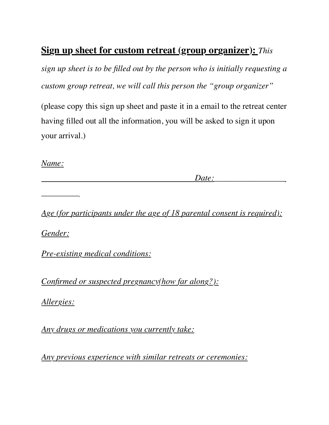## **Sign up sheet for custom retreat (group organizer):** *This*

*sign up sheet is to be filled out by the person who is initially requesting a custom group retreat, we will call this person the "group organizer"* 

(please copy this sign up sheet and paste it in a email to the retreat center having filled out all the information, you will be asked to sign it upon your arrival.)

*Name:* 

*Date:* 

*\_\_\_\_\_\_\_\_\_*

*Age (for participants under the age of 18 parental consent is required): Gender:* 

*Pre-existing medical conditions:*

*Confirmed or suspected pregnancy(how far along?):*

*Allergies:*

*Any drugs or medications you currently take:* 

*Any previous experience with similar retreats or ceremonies:*